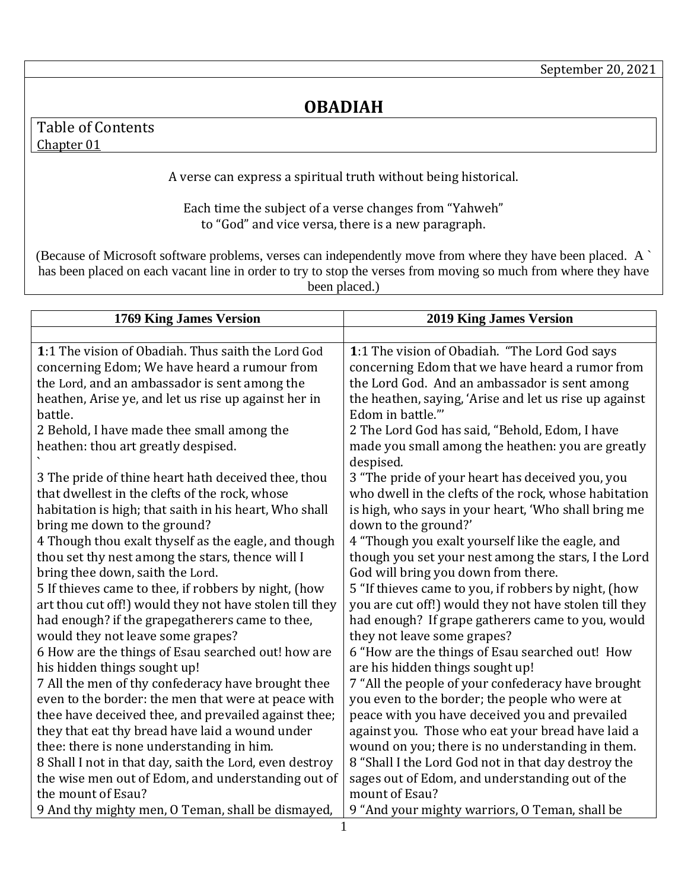## **OBADIAH**

## <span id="page-0-1"></span>Table of Contents [Chapter 01](#page-0-0)

A verse can express a spiritual truth without being historical.

Each time the subject of a verse changes from "Yahweh" to "God" and vice versa, there is a new paragraph.

(Because of Microsoft software problems, verses can independently move from where they have been placed. A ` has been placed on each vacant line in order to try to stop the verses from moving so much from where they have been placed.)

<span id="page-0-0"></span>

| 1769 King James Version                                 | <b>2019 King James Version</b>                         |
|---------------------------------------------------------|--------------------------------------------------------|
|                                                         |                                                        |
| 1:1 The vision of Obadiah. Thus saith the Lord God      | 1:1 The vision of Obadiah. "The Lord God says          |
| concerning Edom; We have heard a rumour from            | concerning Edom that we have heard a rumor from        |
| the Lord, and an ambassador is sent among the           | the Lord God. And an ambassador is sent among          |
| heathen, Arise ye, and let us rise up against her in    | the heathen, saying, 'Arise and let us rise up against |
| battle.                                                 | Edom in battle."'                                      |
| 2 Behold, I have made thee small among the              | 2 The Lord God has said, "Behold, Edom, I have         |
| heathen: thou art greatly despised.                     | made you small among the heathen: you are greatly      |
|                                                         | despised.                                              |
| 3 The pride of thine heart hath deceived thee, thou     | 3 "The pride of your heart has deceived you, you       |
| that dwellest in the clefts of the rock, whose          | who dwell in the clefts of the rock, whose habitation  |
| habitation is high; that saith in his heart, Who shall  | is high, who says in your heart, 'Who shall bring me   |
| bring me down to the ground?                            | down to the ground?'                                   |
| 4 Though thou exalt thyself as the eagle, and though    | 4 "Though you exalt yourself like the eagle, and       |
| thou set thy nest among the stars, thence will I        | though you set your nest among the stars, I the Lord   |
| bring thee down, saith the Lord.                        | God will bring you down from there.                    |
| 5 If thieves came to thee, if robbers by night, (how    | 5 "If thieves came to you, if robbers by night, (how   |
| art thou cut off!) would they not have stolen till they | you are cut off!) would they not have stolen till they |
| had enough? if the grapegatherers came to thee,         | had enough? If grape gatherers came to you, would      |
| would they not leave some grapes?                       | they not leave some grapes?                            |
| 6 How are the things of Esau searched out! how are      | 6 "How are the things of Esau searched out! How        |
| his hidden things sought up!                            | are his hidden things sought up!                       |
| 7 All the men of thy confederacy have brought thee      | 7 "All the people of your confederacy have brought     |
| even to the border: the men that were at peace with     | you even to the border; the people who were at         |
| thee have deceived thee, and prevailed against thee;    | peace with you have deceived you and prevailed         |
| they that eat thy bread have laid a wound under         | against you. Those who eat your bread have laid a      |
| thee: there is none understanding in him.               | wound on you; there is no understanding in them.       |
| 8 Shall I not in that day, saith the Lord, even destroy | 8 "Shall I the Lord God not in that day destroy the    |
| the wise men out of Edom, and understanding out of      | sages out of Edom, and understanding out of the        |
| the mount of Esau?                                      | mount of Esau?                                         |
| 9 And thy mighty men, O Teman, shall be dismayed,       | 9 "And your mighty warriors, O Teman, shall be         |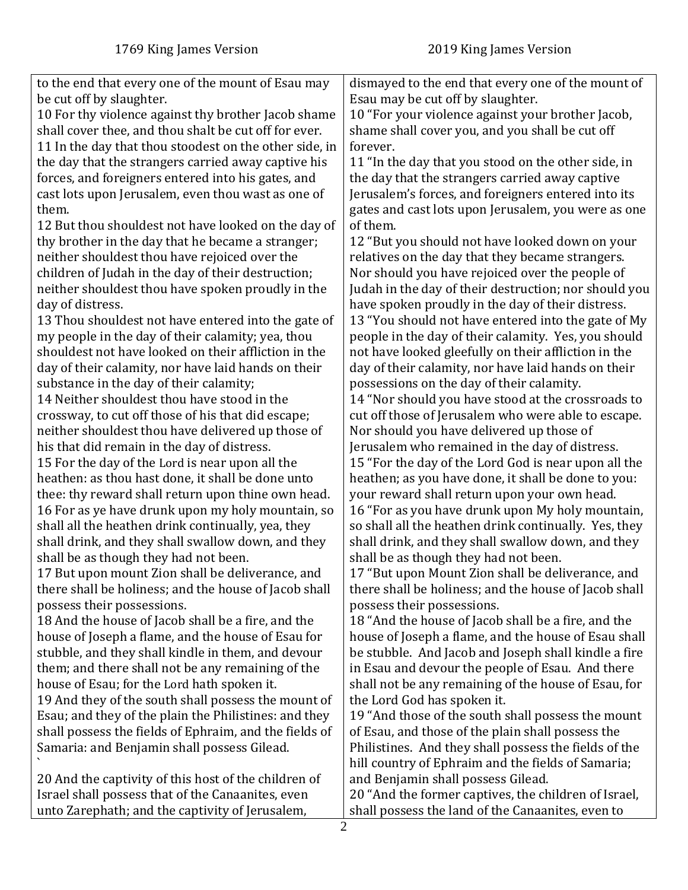| to the end that every one of the mount of Esau may<br>be cut off by slaughter.<br>10 For thy violence against thy brother Jacob shame<br>shall cover thee, and thou shalt be cut off for ever.<br>11 In the day that thou stoodest on the other side, in<br>the day that the strangers carried away captive his<br>forces, and foreigners entered into his gates, and<br>cast lots upon Jerusalem, even thou wast as one of<br>them.<br>12 But thou shouldest not have looked on the day of<br>thy brother in the day that he became a stranger;<br>neither shouldest thou have rejoiced over the<br>children of Judah in the day of their destruction;<br>neither shouldest thou have spoken proudly in the<br>day of distress.<br>13 Thou shouldest not have entered into the gate of<br>my people in the day of their calamity; yea, thou<br>shouldest not have looked on their affliction in the<br>day of their calamity, nor have laid hands on their<br>substance in the day of their calamity;<br>14 Neither shouldest thou have stood in the<br>crossway, to cut off those of his that did escape;<br>neither shouldest thou have delivered up those of<br>his that did remain in the day of distress.<br>15 For the day of the Lord is near upon all the<br>heathen: as thou hast done, it shall be done unto<br>thee: thy reward shall return upon thine own head.<br>16 For as ye have drunk upon my holy mountain, so<br>shall all the heathen drink continually, yea, they<br>shall drink, and they shall swallow down, and they<br>shall be as though they had not been.<br>17 But upon mount Zion shall be deliverance, and<br>there shall be holiness; and the house of Jacob shall<br>possess their possessions.<br>18 And the house of Jacob shall be a fire, and the<br>house of Joseph a flame, and the house of Esau for<br>stubble, and they shall kindle in them, and devour<br>them; and there shall not be any remaining of the | dismayed to the end that every one of the mount of<br>Esau may be cut off by slaughter.<br>10 "For your violence against your brother Jacob,<br>shame shall cover you, and you shall be cut off<br>forever.<br>11 "In the day that you stood on the other side, in<br>the day that the strangers carried away captive<br>Jerusalem's forces, and foreigners entered into its<br>gates and cast lots upon Jerusalem, you were as one<br>of them.<br>12 "But you should not have looked down on your<br>relatives on the day that they became strangers.<br>Nor should you have rejoiced over the people of<br>Judah in the day of their destruction; nor should you<br>have spoken proudly in the day of their distress.<br>13 "You should not have entered into the gate of My<br>people in the day of their calamity. Yes, you should<br>not have looked gleefully on their affliction in the<br>day of their calamity, nor have laid hands on their<br>possessions on the day of their calamity.<br>14 "Nor should you have stood at the crossroads to<br>cut off those of Jerusalem who were able to escape.<br>Nor should you have delivered up those of<br>Jerusalem who remained in the day of distress.<br>15 "For the day of the Lord God is near upon all the<br>heathen; as you have done, it shall be done to you:<br>your reward shall return upon your own head.<br>16 "For as you have drunk upon My holy mountain,<br>so shall all the heathen drink continually. Yes, they<br>shall drink, and they shall swallow down, and they<br>shall be as though they had not been.<br>17 "But upon Mount Zion shall be deliverance, and<br>there shall be holiness; and the house of Jacob shall<br>possess their possessions.<br>18 "And the house of Jacob shall be a fire, and the<br>house of Joseph a flame, and the house of Esau shall<br>be stubble. And Jacob and Joseph shall kindle a fire<br>in Esau and devour the people of Esau. And there |
|-----------------------------------------------------------------------------------------------------------------------------------------------------------------------------------------------------------------------------------------------------------------------------------------------------------------------------------------------------------------------------------------------------------------------------------------------------------------------------------------------------------------------------------------------------------------------------------------------------------------------------------------------------------------------------------------------------------------------------------------------------------------------------------------------------------------------------------------------------------------------------------------------------------------------------------------------------------------------------------------------------------------------------------------------------------------------------------------------------------------------------------------------------------------------------------------------------------------------------------------------------------------------------------------------------------------------------------------------------------------------------------------------------------------------------------------------------------------------------------------------------------------------------------------------------------------------------------------------------------------------------------------------------------------------------------------------------------------------------------------------------------------------------------------------------------------------------------------------------------------------------------------------------------------------------------------------------------|------------------------------------------------------------------------------------------------------------------------------------------------------------------------------------------------------------------------------------------------------------------------------------------------------------------------------------------------------------------------------------------------------------------------------------------------------------------------------------------------------------------------------------------------------------------------------------------------------------------------------------------------------------------------------------------------------------------------------------------------------------------------------------------------------------------------------------------------------------------------------------------------------------------------------------------------------------------------------------------------------------------------------------------------------------------------------------------------------------------------------------------------------------------------------------------------------------------------------------------------------------------------------------------------------------------------------------------------------------------------------------------------------------------------------------------------------------------------------------------------------------------------------------------------------------------------------------------------------------------------------------------------------------------------------------------------------------------------------------------------------------------------------------------------------------------------------------------------------------------------------------------------------------------------------------------------------------------|
|                                                                                                                                                                                                                                                                                                                                                                                                                                                                                                                                                                                                                                                                                                                                                                                                                                                                                                                                                                                                                                                                                                                                                                                                                                                                                                                                                                                                                                                                                                                                                                                                                                                                                                                                                                                                                                                                                                                                                           |                                                                                                                                                                                                                                                                                                                                                                                                                                                                                                                                                                                                                                                                                                                                                                                                                                                                                                                                                                                                                                                                                                                                                                                                                                                                                                                                                                                                                                                                                                                                                                                                                                                                                                                                                                                                                                                                                                                                                                  |
|                                                                                                                                                                                                                                                                                                                                                                                                                                                                                                                                                                                                                                                                                                                                                                                                                                                                                                                                                                                                                                                                                                                                                                                                                                                                                                                                                                                                                                                                                                                                                                                                                                                                                                                                                                                                                                                                                                                                                           |                                                                                                                                                                                                                                                                                                                                                                                                                                                                                                                                                                                                                                                                                                                                                                                                                                                                                                                                                                                                                                                                                                                                                                                                                                                                                                                                                                                                                                                                                                                                                                                                                                                                                                                                                                                                                                                                                                                                                                  |
|                                                                                                                                                                                                                                                                                                                                                                                                                                                                                                                                                                                                                                                                                                                                                                                                                                                                                                                                                                                                                                                                                                                                                                                                                                                                                                                                                                                                                                                                                                                                                                                                                                                                                                                                                                                                                                                                                                                                                           |                                                                                                                                                                                                                                                                                                                                                                                                                                                                                                                                                                                                                                                                                                                                                                                                                                                                                                                                                                                                                                                                                                                                                                                                                                                                                                                                                                                                                                                                                                                                                                                                                                                                                                                                                                                                                                                                                                                                                                  |
|                                                                                                                                                                                                                                                                                                                                                                                                                                                                                                                                                                                                                                                                                                                                                                                                                                                                                                                                                                                                                                                                                                                                                                                                                                                                                                                                                                                                                                                                                                                                                                                                                                                                                                                                                                                                                                                                                                                                                           |                                                                                                                                                                                                                                                                                                                                                                                                                                                                                                                                                                                                                                                                                                                                                                                                                                                                                                                                                                                                                                                                                                                                                                                                                                                                                                                                                                                                                                                                                                                                                                                                                                                                                                                                                                                                                                                                                                                                                                  |
| house of Esau; for the Lord hath spoken it.                                                                                                                                                                                                                                                                                                                                                                                                                                                                                                                                                                                                                                                                                                                                                                                                                                                                                                                                                                                                                                                                                                                                                                                                                                                                                                                                                                                                                                                                                                                                                                                                                                                                                                                                                                                                                                                                                                               | shall not be any remaining of the house of Esau, for                                                                                                                                                                                                                                                                                                                                                                                                                                                                                                                                                                                                                                                                                                                                                                                                                                                                                                                                                                                                                                                                                                                                                                                                                                                                                                                                                                                                                                                                                                                                                                                                                                                                                                                                                                                                                                                                                                             |
| 19 And they of the south shall possess the mount of                                                                                                                                                                                                                                                                                                                                                                                                                                                                                                                                                                                                                                                                                                                                                                                                                                                                                                                                                                                                                                                                                                                                                                                                                                                                                                                                                                                                                                                                                                                                                                                                                                                                                                                                                                                                                                                                                                       | the Lord God has spoken it.                                                                                                                                                                                                                                                                                                                                                                                                                                                                                                                                                                                                                                                                                                                                                                                                                                                                                                                                                                                                                                                                                                                                                                                                                                                                                                                                                                                                                                                                                                                                                                                                                                                                                                                                                                                                                                                                                                                                      |
| Esau; and they of the plain the Philistines: and they                                                                                                                                                                                                                                                                                                                                                                                                                                                                                                                                                                                                                                                                                                                                                                                                                                                                                                                                                                                                                                                                                                                                                                                                                                                                                                                                                                                                                                                                                                                                                                                                                                                                                                                                                                                                                                                                                                     | 19 "And those of the south shall possess the mount                                                                                                                                                                                                                                                                                                                                                                                                                                                                                                                                                                                                                                                                                                                                                                                                                                                                                                                                                                                                                                                                                                                                                                                                                                                                                                                                                                                                                                                                                                                                                                                                                                                                                                                                                                                                                                                                                                               |
| shall possess the fields of Ephraim, and the fields of                                                                                                                                                                                                                                                                                                                                                                                                                                                                                                                                                                                                                                                                                                                                                                                                                                                                                                                                                                                                                                                                                                                                                                                                                                                                                                                                                                                                                                                                                                                                                                                                                                                                                                                                                                                                                                                                                                    | of Esau, and those of the plain shall possess the                                                                                                                                                                                                                                                                                                                                                                                                                                                                                                                                                                                                                                                                                                                                                                                                                                                                                                                                                                                                                                                                                                                                                                                                                                                                                                                                                                                                                                                                                                                                                                                                                                                                                                                                                                                                                                                                                                                |
| Samaria: and Benjamin shall possess Gilead.                                                                                                                                                                                                                                                                                                                                                                                                                                                                                                                                                                                                                                                                                                                                                                                                                                                                                                                                                                                                                                                                                                                                                                                                                                                                                                                                                                                                                                                                                                                                                                                                                                                                                                                                                                                                                                                                                                               | Philistines. And they shall possess the fields of the<br>hill country of Ephraim and the fields of Samaria;                                                                                                                                                                                                                                                                                                                                                                                                                                                                                                                                                                                                                                                                                                                                                                                                                                                                                                                                                                                                                                                                                                                                                                                                                                                                                                                                                                                                                                                                                                                                                                                                                                                                                                                                                                                                                                                      |
| 20 And the captivity of this host of the children of                                                                                                                                                                                                                                                                                                                                                                                                                                                                                                                                                                                                                                                                                                                                                                                                                                                                                                                                                                                                                                                                                                                                                                                                                                                                                                                                                                                                                                                                                                                                                                                                                                                                                                                                                                                                                                                                                                      | and Benjamin shall possess Gilead.                                                                                                                                                                                                                                                                                                                                                                                                                                                                                                                                                                                                                                                                                                                                                                                                                                                                                                                                                                                                                                                                                                                                                                                                                                                                                                                                                                                                                                                                                                                                                                                                                                                                                                                                                                                                                                                                                                                               |
| Israel shall possess that of the Canaanites, even                                                                                                                                                                                                                                                                                                                                                                                                                                                                                                                                                                                                                                                                                                                                                                                                                                                                                                                                                                                                                                                                                                                                                                                                                                                                                                                                                                                                                                                                                                                                                                                                                                                                                                                                                                                                                                                                                                         | 20 "And the former captives, the children of Israel,                                                                                                                                                                                                                                                                                                                                                                                                                                                                                                                                                                                                                                                                                                                                                                                                                                                                                                                                                                                                                                                                                                                                                                                                                                                                                                                                                                                                                                                                                                                                                                                                                                                                                                                                                                                                                                                                                                             |
| unto Zarephath; and the captivity of Jerusalem,                                                                                                                                                                                                                                                                                                                                                                                                                                                                                                                                                                                                                                                                                                                                                                                                                                                                                                                                                                                                                                                                                                                                                                                                                                                                                                                                                                                                                                                                                                                                                                                                                                                                                                                                                                                                                                                                                                           | shall possess the land of the Canaanites, even to                                                                                                                                                                                                                                                                                                                                                                                                                                                                                                                                                                                                                                                                                                                                                                                                                                                                                                                                                                                                                                                                                                                                                                                                                                                                                                                                                                                                                                                                                                                                                                                                                                                                                                                                                                                                                                                                                                                |